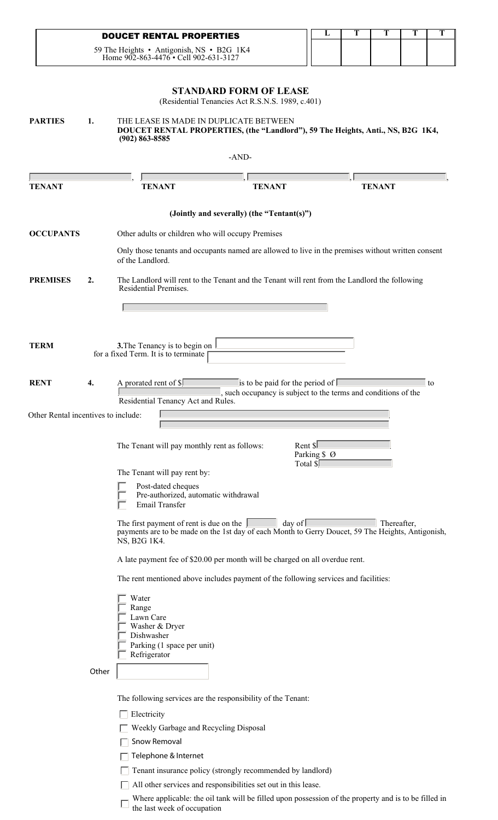| <b>DOUCET RENTAL PROPERTIES</b>                                                    |  |  |  |
|------------------------------------------------------------------------------------|--|--|--|
| 59 The Heights • Antigonish, NS • B2G 1K4<br>Home 902-863-4476 • Cell 902-631-3127 |  |  |  |

## **STANDARD FORM OF LEASE**

(Residential Tenancies Act R.S.N.S. 1989, c.401)

| <b>PARTIES</b>                      | 1.    | THE LEASE IS MADE IN DUPLICATE BETWEEN<br>$(902) 863 - 8585$                                                 |                                                                                     | DOUCET RENTAL PROPERTIES, (the "Landlord"), 59 The Heights, Anti., NS, B2G 1K4,                                  |
|-------------------------------------|-------|--------------------------------------------------------------------------------------------------------------|-------------------------------------------------------------------------------------|------------------------------------------------------------------------------------------------------------------|
|                                     |       |                                                                                                              | -AND-                                                                               |                                                                                                                  |
| <b>TENANT</b>                       |       | <b>TENANT</b>                                                                                                | <b>TENANT</b>                                                                       | <b>TENANT</b>                                                                                                    |
|                                     |       |                                                                                                              | (Jointly and severally) (the "Tentant(s)")                                          |                                                                                                                  |
| <b>OCCUPANTS</b>                    |       | Other adults or children who will occupy Premises                                                            |                                                                                     |                                                                                                                  |
|                                     |       | of the Landlord.                                                                                             |                                                                                     | Only those tenants and occupants named are allowed to live in the premises without written consent               |
| <b>PREMISES</b>                     | 2.    | Residential Premises.                                                                                        |                                                                                     | The Landlord will rent to the Tenant and the Tenant will rent from the Landlord the following                    |
|                                     |       |                                                                                                              |                                                                                     |                                                                                                                  |
| <b>TERM</b>                         |       | 3. The Tenancy is to begin on<br>for a fixed Term. It is to terminate                                        |                                                                                     |                                                                                                                  |
| <b>RENT</b>                         | 4.    | A prorated rent of \$<br>Residential Tenancy Act and Rules.                                                  | is to be paid for the period of $\mathbb I$                                         | to<br>such occupancy is subject to the terms and conditions of the                                               |
| Other Rental incentives to include: |       |                                                                                                              |                                                                                     |                                                                                                                  |
|                                     |       | The Tenant will pay monthly rent as follows:                                                                 | Rent \$<br>Total \$                                                                 | Parking \$ Ø                                                                                                     |
|                                     |       | The Tenant will pay rent by:<br>Post-dated cheques<br>Pre-authorized, automatic withdrawal<br>Email Transfer |                                                                                     |                                                                                                                  |
|                                     |       | The first payment of rent is due on the<br>NS, B2G 1K4.                                                      | day of                                                                              | Thereafter,<br>payments are to be made on the 1st day of each Month to Gerry Doucet, 59 The Heights, Antigonish, |
|                                     |       |                                                                                                              | A late payment fee of \$20.00 per month will be charged on all overdue rent.        |                                                                                                                  |
|                                     |       |                                                                                                              | The rent mentioned above includes payment of the following services and facilities: |                                                                                                                  |
|                                     |       | Water<br>Range<br>Lawn Care<br>Washer & Dryer<br>Dishwasher<br>Parking (1 space per unit)<br>Refrigerator    |                                                                                     |                                                                                                                  |
|                                     | Other |                                                                                                              |                                                                                     |                                                                                                                  |
|                                     |       |                                                                                                              | The following services are the responsibility of the Tenant:                        |                                                                                                                  |
|                                     |       | Electricity                                                                                                  |                                                                                     |                                                                                                                  |
|                                     |       | Weekly Garbage and Recycling Disposal                                                                        |                                                                                     |                                                                                                                  |
|                                     |       | Snow Removal                                                                                                 |                                                                                     |                                                                                                                  |
|                                     |       | Telephone & Internet                                                                                         | Tenant insurance policy (strongly recommended by landlord)                          |                                                                                                                  |
|                                     |       |                                                                                                              | All other services and responsibilities set out in this lease.                      |                                                                                                                  |
|                                     |       |                                                                                                              |                                                                                     |                                                                                                                  |

Where applicable: the oil tank will be filled upon possession of the property and is to be filled in the last week of occupation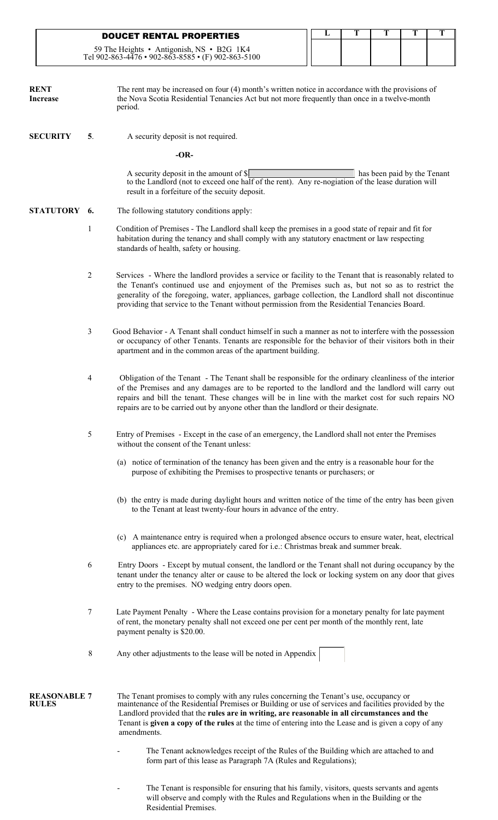|                                     |                | <b>DOUCET RENTAL PROPERTIES</b>                                                                                                                                                                                                                                                                                                                                                                                         | L | T | T                           | T | T |  |  |  |
|-------------------------------------|----------------|-------------------------------------------------------------------------------------------------------------------------------------------------------------------------------------------------------------------------------------------------------------------------------------------------------------------------------------------------------------------------------------------------------------------------|---|---|-----------------------------|---|---|--|--|--|
|                                     |                | 59 The Heights • Antigonish, NS • B2G 1K4<br>Tel 902-863-4476 • 902-863-8585 • (F) 902-863-5100                                                                                                                                                                                                                                                                                                                         |   |   |                             |   |   |  |  |  |
| <b>RENT</b><br><b>Increase</b>      |                | The rent may be increased on four (4) month's written notice in accordance with the provisions of<br>the Nova Scotia Residential Tenancies Act but not more frequently than once in a twelve-month<br>period.                                                                                                                                                                                                           |   |   |                             |   |   |  |  |  |
| <b>SECURITY</b>                     | 5.             | A security deposit is not required.                                                                                                                                                                                                                                                                                                                                                                                     |   |   |                             |   |   |  |  |  |
|                                     |                | $-OR-$                                                                                                                                                                                                                                                                                                                                                                                                                  |   |   |                             |   |   |  |  |  |
|                                     |                | A security deposit in the amount of $\mathcal{S}$<br>to the Landlord (not to exceed one half of the rent). Any re-nogiation of the lease duration will<br>result in a forfeiture of the secuity deposit.                                                                                                                                                                                                                |   |   | has been paid by the Tenant |   |   |  |  |  |
| STATUTORY 6.                        |                | The following statutory conditions apply:                                                                                                                                                                                                                                                                                                                                                                               |   |   |                             |   |   |  |  |  |
|                                     | $\mathbf{1}$   | Condition of Premises - The Landlord shall keep the premises in a good state of repair and fit for<br>habitation during the tenancy and shall comply with any statutory enactment or law respecting<br>standards of health, safety or housing.                                                                                                                                                                          |   |   |                             |   |   |  |  |  |
|                                     | 2              | Services - Where the landlord provides a service or facility to the Tenant that is reasonably related to<br>the Tenant's continued use and enjoyment of the Premises such as, but not so as to restrict the<br>generality of the foregoing, water, appliances, garbage collection, the Landlord shall not discontinue<br>providing that service to the Tenant without permission from the Residential Tenancies Board.  |   |   |                             |   |   |  |  |  |
|                                     | 3              | Good Behavior - A Tenant shall conduct himself in such a manner as not to interfere with the possession<br>or occupancy of other Tenants. Tenants are responsible for the behavior of their visitors both in their<br>apartment and in the common areas of the apartment building.                                                                                                                                      |   |   |                             |   |   |  |  |  |
|                                     | 4              | Obligation of the Tenant - The Tenant shall be responsible for the ordinary cleanliness of the interior<br>of the Premises and any damages are to be reported to the landlord and the landlord will carry out<br>repairs and bill the tenant. These changes will be in line with the market cost for such repairs NO<br>repairs are to be carried out by anyone other than the landlord or their designate.             |   |   |                             |   |   |  |  |  |
|                                     | 5              | Entry of Premises - Except in the case of an emergency, the Landlord shall not enter the Premises<br>without the consent of the Tenant unless:                                                                                                                                                                                                                                                                          |   |   |                             |   |   |  |  |  |
|                                     |                | (a) notice of termination of the tenancy has been given and the entry is a reasonable hour for the<br>purpose of exhibiting the Premises to prospective tenants or purchasers; or                                                                                                                                                                                                                                       |   |   |                             |   |   |  |  |  |
|                                     |                | (b) the entry is made during daylight hours and written notice of the time of the entry has been given<br>to the Tenant at least twenty-four hours in advance of the entry.                                                                                                                                                                                                                                             |   |   |                             |   |   |  |  |  |
|                                     |                | (c) A maintenance entry is required when a prolonged absence occurs to ensure water, heat, electrical<br>appliances etc. are appropriately cared for i.e.: Christmas break and summer break.                                                                                                                                                                                                                            |   |   |                             |   |   |  |  |  |
|                                     | 6              | Entry Doors - Except by mutual consent, the landlord or the Tenant shall not during occupancy by the<br>tenant under the tenancy alter or cause to be altered the lock or locking system on any door that gives<br>entry to the premises. NO wedging entry doors open.                                                                                                                                                  |   |   |                             |   |   |  |  |  |
|                                     | 7              | Late Payment Penalty - Where the Lease contains provision for a monetary penalty for late payment<br>of rent, the monetary penalty shall not exceed one per cent per month of the monthly rent, late<br>payment penalty is \$20.00.                                                                                                                                                                                     |   |   |                             |   |   |  |  |  |
|                                     | $8\phantom{1}$ | Any other adjustments to the lease will be noted in Appendix                                                                                                                                                                                                                                                                                                                                                            |   |   |                             |   |   |  |  |  |
| <b>REASONABLE 7</b><br><b>RULES</b> |                | The Tenant promises to comply with any rules concerning the Tenant's use, occupancy or<br>maintenance of the Residential Premises or Building or use of services and facilities provided by the<br>Landlord provided that the rules are in writing, are reasonable in all circumstances and the<br>Tenant is given a copy of the rules at the time of entering into the Lease and is given a copy of any<br>amendments. |   |   |                             |   |   |  |  |  |
|                                     |                | The Tenant acknowledges receipt of the Rules of the Building which are attached to and<br>form part of this lease as Paragraph 7A (Rules and Regulations);                                                                                                                                                                                                                                                              |   |   |                             |   |   |  |  |  |

- The Tenant is responsible for ensuring that his family, visitors, quests servants and agents will observe and comply with the Rules and Regulations when in the Building or the Residential Premises.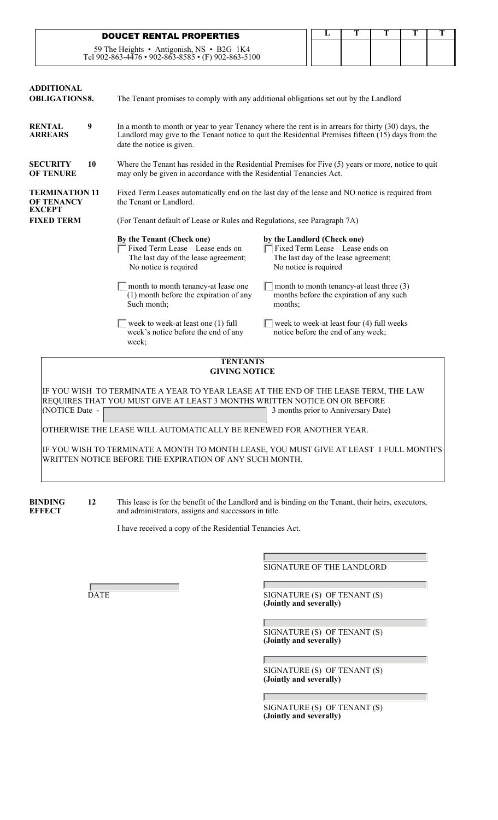| <b>DOUCET RENTAL PROPERTIES</b>                                                                 |  |  |  |
|-------------------------------------------------------------------------------------------------|--|--|--|
| 59 The Heights • Antigonish, NS • B2G 1K4<br>Tel 902-863-4476 • 902-863-8585 • (F) 902-863-5100 |  |  |  |

| <b>ADDITIONAL</b><br><b>OBLIGATIONS8.</b>    | The Tenant promises to comply with any additional obligations set out by the Landlord                                                                                                                                                                                                                                  |                                                                                                                                                                                                                                                                                                                         |  |  |  |  |  |  |  |  |
|----------------------------------------------|------------------------------------------------------------------------------------------------------------------------------------------------------------------------------------------------------------------------------------------------------------------------------------------------------------------------|-------------------------------------------------------------------------------------------------------------------------------------------------------------------------------------------------------------------------------------------------------------------------------------------------------------------------|--|--|--|--|--|--|--|--|
| 9<br><b>RENTAL</b><br><b>ARREARS</b>         | In a month to month or year to year Tenancy where the rent is in arrears for thirty (30) days, the<br>Landlord may give to the Tenant notice to quit the Residential Premises fifteen (15) days from the<br>date the notice is given.                                                                                  |                                                                                                                                                                                                                                                                                                                         |  |  |  |  |  |  |  |  |
| <b>SECURITY</b><br>10<br><b>OF TENURE</b>    | Where the Tenant has resided in the Residential Premises for Five $(5)$ years or more, notice to quit<br>may only be given in accordance with the Residential Tenancies Act.                                                                                                                                           |                                                                                                                                                                                                                                                                                                                         |  |  |  |  |  |  |  |  |
| <b>TERMINATION 11</b><br><b>OF TENANCY</b>   | Fixed Term Leases automatically end on the last day of the lease and NO notice is required from<br>the Tenant or Landlord.                                                                                                                                                                                             |                                                                                                                                                                                                                                                                                                                         |  |  |  |  |  |  |  |  |
| <b>FIXED TERM</b>                            | (For Tenant default of Lease or Rules and Regulations, see Paragraph 7A)                                                                                                                                                                                                                                               |                                                                                                                                                                                                                                                                                                                         |  |  |  |  |  |  |  |  |
|                                              | By the Tenant (Check one)<br>Fixed Term Lease - Lease ends on<br>The last day of the lease agreement;<br>No notice is required<br>month to month tenancy-at lease one<br>$(1)$ month before the expiration of any<br>Such month;<br>week to week-at least one (1) full<br>week's notice before the end of any<br>week; | by the Landlord (Check one)<br>Fixed Term Lease - Lease ends on<br>The last day of the lease agreement;<br>No notice is required<br>month to month tenancy-at least three (3)<br>months before the expiration of any such<br>months:<br>week to week-at least four (4) full weeks<br>notice before the end of any week; |  |  |  |  |  |  |  |  |
| <b>TENTANTS</b><br><b>GIVING NOTICE</b>      |                                                                                                                                                                                                                                                                                                                        |                                                                                                                                                                                                                                                                                                                         |  |  |  |  |  |  |  |  |
| <b>EXCEPT</b><br>E VOU WIGH TO TED HIJ AT TE |                                                                                                                                                                                                                                                                                                                        | VEAD TO VEAD LEAGE AT THE END OF THE LEAGE TEDM THE LAW                                                                                                                                                                                                                                                                 |  |  |  |  |  |  |  |  |

IF YOU WISH TO TERMINATE A YEAR TO YEAR LEASE AT THE END OF THE LEASE TERM, THE LAW REQUIRES THAT YOU MUST GIVE AT LEAST 3 MONTHS WRITTEN NOTICE ON OR BEFORE<br>(NOTICE Date -3 months prior to Anniversary Date)

 $\overline{a}$ OTHERWISE THE LEASE WILL AUTOMATICALLY BE RENEWED FOR ANOTHER YEAR.

IF YOU WISH TO TERMINATE A MONTH TO MONTH LEASE, YOU MUST GIVE AT LEAST 1 FULL MONTH'S WRITTEN NOTICE BEFORE THE EXPIRATION OF ANY SUCH MONTH.

**BINDING** 12 This lease is for the benefit of the Landlord and is binding on the Tenant, their heirs, executors, and administrators, assigns and successors in title. and administrators, assigns and successors in title.

Г

I have received a copy of the Residential Tenancies Act.

SIGNATURE OF THE LANDLORD

DATE SIGNATURE (S) OF TENANT (S) **(Jointly and severally)** 

> SIGNATURE (S) OF TENANT (S) **(Jointly and severally)**

> SIGNATURE (S) OF TENANT (S) **(Jointly and severally)**

> SIGNATURE (S) OF TENANT (S) **(Jointly and severally)**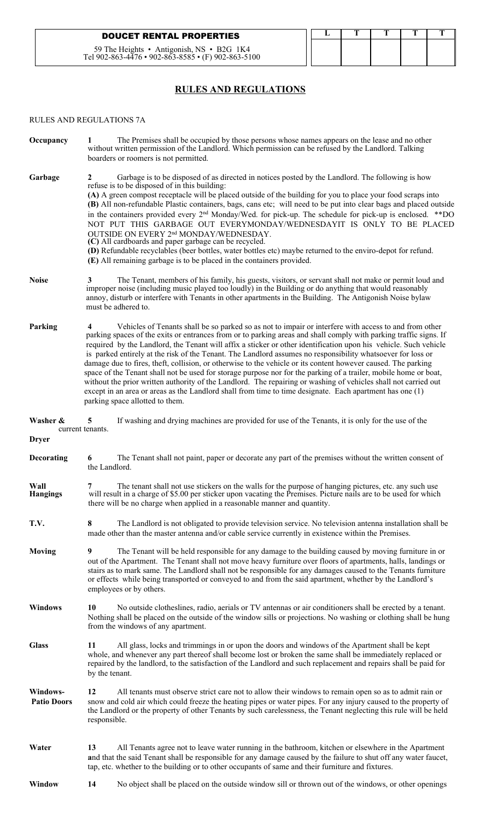### **DOUCET RENTAL PROPERTIES**

59 The Heights • Antigonish, NS • B2G 1K4 Tel 902-863-4476 • 902-863-8585 • (F) 902-863-5100

# **RULES AND REGULATIONS**

#### RULES AND REGULATIONS 7A

| Occupancy                      | The Premises shall be occupied by those persons whose names appears on the lease and no other<br>without written permission of the Landlord. Which permission can be refused by the Landlord. Talking<br>boarders or roomers is not permitted.                                                                                                                                                                                                                                                                                                                                                                                                                                                                                                                                                                                                                                                                                                                       |
|--------------------------------|----------------------------------------------------------------------------------------------------------------------------------------------------------------------------------------------------------------------------------------------------------------------------------------------------------------------------------------------------------------------------------------------------------------------------------------------------------------------------------------------------------------------------------------------------------------------------------------------------------------------------------------------------------------------------------------------------------------------------------------------------------------------------------------------------------------------------------------------------------------------------------------------------------------------------------------------------------------------|
| Garbage                        | Garbage is to be disposed of as directed in notices posted by the Landlord. The following is how                                                                                                                                                                                                                                                                                                                                                                                                                                                                                                                                                                                                                                                                                                                                                                                                                                                                     |
|                                | refuse is to be disposed of in this building:<br>(A) A green compost receptacle will be placed outside of the building for you to place your food scraps into<br>(B) All non-refundable Plastic containers, bags, cans etc; will need to be put into clear bags and placed outside<br>in the containers provided every 2 <sup>nd</sup> Monday/Wed. for pick-up. The schedule for pick-up is enclosed. **DO<br>NOT PUT THIS GARBAGE OUT EVERYMONDAY/WEDNESDAYIT IS ONLY TO BE PLACED<br>OUTSIDE ON EVERY 2 <sup>nd</sup> MONDAY/WEDNESDAY.<br>(C) All cardboards and paper garbage can be recycled.<br>(D) Refundable recyclables (beer bottles, water bottles etc) maybe returned to the enviro-depot for refund.<br>(E) All remaining garbage is to be placed in the containers provided.                                                                                                                                                                           |
| <b>Noise</b>                   | The Tenant, members of his family, his guests, visitors, or servant shall not make or permit loud and<br>3<br>improper noise (including music played too loudly) in the Building or do anything that would reasonably<br>annoy, disturb or interfere with Tenants in other apartments in the Building. The Antigonish Noise bylaw<br>must be adhered to.                                                                                                                                                                                                                                                                                                                                                                                                                                                                                                                                                                                                             |
| Parking                        | Vehicles of Tenants shall be so parked so as not to impair or interfere with access to and from other<br>parking spaces of the exits or entrances from or to parking areas and shall comply with parking traffic signs. If<br>required by the Landlord, the Tenant will affix a sticker or other identification upon his vehicle. Such vehicle<br>is parked entirely at the risk of the Tenant. The Landlord assumes no responsibility whatsoever for loss or<br>damage due to fires, theft, collision, or otherwise to the vehicle or its content however caused. The parking<br>space of the Tenant shall not be used for storage purpose nor for the parking of a trailer, mobile home or boat,<br>without the prior written authority of the Landlord. The repairing or washing of vehicles shall not carried out<br>except in an area or areas as the Landlord shall from time to time designate. Each apartment has one (1)<br>parking space allotted to them. |
| Washer &                       | If washing and drying machines are provided for use of the Tenants, it is only for the use of the<br>5                                                                                                                                                                                                                                                                                                                                                                                                                                                                                                                                                                                                                                                                                                                                                                                                                                                               |
| <b>Dryer</b>                   | current tenants.                                                                                                                                                                                                                                                                                                                                                                                                                                                                                                                                                                                                                                                                                                                                                                                                                                                                                                                                                     |
| Decorating                     | The Tenant shall not paint, paper or decorate any part of the premises without the written consent of<br>6<br>the Landlord.                                                                                                                                                                                                                                                                                                                                                                                                                                                                                                                                                                                                                                                                                                                                                                                                                                          |
| Wall<br><b>Hangings</b>        | The tenant shall not use stickers on the walls for the purpose of hanging pictures, etc. any such use<br>7<br>will result in a charge of \$5.00 per sticker upon vacating the Premises. Picture nails are to be used for which<br>there will be no charge when applied in a reasonable manner and quantity.                                                                                                                                                                                                                                                                                                                                                                                                                                                                                                                                                                                                                                                          |
| T.V.                           | The Landlord is not obligated to provide television service. No television antenna installation shall be<br>8<br>made other than the master antenna and/or cable service currently in existence within the Premises.                                                                                                                                                                                                                                                                                                                                                                                                                                                                                                                                                                                                                                                                                                                                                 |
| <b>Moving</b>                  | 9<br>The Tenant will be held responsible for any damage to the building caused by moving furniture in or<br>out of the Apartment. The Tenant shall not move heavy furniture over floors of apartments, halls, landings or<br>stairs as to mark same. The Landlord shall not be responsible for any damages caused to the Tenants furniture<br>or effects while being transported or conveyed to and from the said apartment, whether by the Landlord's<br>employees or by others.                                                                                                                                                                                                                                                                                                                                                                                                                                                                                    |
| <b>Windows</b>                 | No outside clotheslines, radio, aerials or TV antennas or air conditioners shall be erected by a tenant.<br>10<br>Nothing shall be placed on the outside of the window sills or projections. No washing or clothing shall be hung<br>from the windows of any apartment.                                                                                                                                                                                                                                                                                                                                                                                                                                                                                                                                                                                                                                                                                              |
| <b>Glass</b>                   | All glass, locks and trimmings in or upon the doors and windows of the Apartment shall be kept<br>11<br>whole, and whenever any part thereof shall become lost or broken the same shall be immediately replaced or<br>repaired by the landlord, to the satisfaction of the Landlord and such replacement and repairs shall be paid for<br>by the tenant.                                                                                                                                                                                                                                                                                                                                                                                                                                                                                                                                                                                                             |
| Windows-<br><b>Patio Doors</b> | All tenants must observe strict care not to allow their windows to remain open so as to admit rain or<br>12<br>snow and cold air which could freeze the heating pipes or water pipes. For any injury caused to the property of<br>the Landlord or the property of other Tenants by such carelessness, the Tenant neglecting this rule will be held<br>responsible.                                                                                                                                                                                                                                                                                                                                                                                                                                                                                                                                                                                                   |
| Water                          | All Tenants agree not to leave water running in the bathroom, kitchen or elsewhere in the Apartment<br>13<br>and that the said Tenant shall be responsible for any damage caused by the failure to shut off any water faucet,<br>tap, etc. whether to the building or to other occupants of same and their furniture and fixtures.                                                                                                                                                                                                                                                                                                                                                                                                                                                                                                                                                                                                                                   |
| Window                         | 14<br>No object shall be placed on the outside window sill or thrown out of the windows, or other openings                                                                                                                                                                                                                                                                                                                                                                                                                                                                                                                                                                                                                                                                                                                                                                                                                                                           |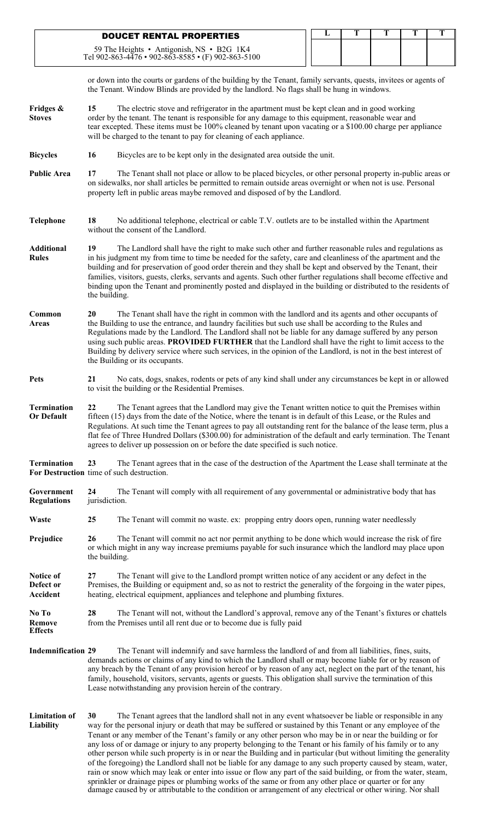|                                                                 |                                                                                                                                                                                                                                                                                                                                                                                                                                                                                                                                                                                                                                                                                                                                                                                                                       |                                                                                                                                                                                                                                                                                                                                                                                                                                                                                                                                                                                                | <b>DOUCET RENTAL PROPERTIES</b>                                       |  |  |  |  |  |  |  |  |  |  | L | T | T                                                                                           | T                                                                                                                                                                                                                    | T |
|-----------------------------------------------------------------|-----------------------------------------------------------------------------------------------------------------------------------------------------------------------------------------------------------------------------------------------------------------------------------------------------------------------------------------------------------------------------------------------------------------------------------------------------------------------------------------------------------------------------------------------------------------------------------------------------------------------------------------------------------------------------------------------------------------------------------------------------------------------------------------------------------------------|------------------------------------------------------------------------------------------------------------------------------------------------------------------------------------------------------------------------------------------------------------------------------------------------------------------------------------------------------------------------------------------------------------------------------------------------------------------------------------------------------------------------------------------------------------------------------------------------|-----------------------------------------------------------------------|--|--|--|--|--|--|--|--|--|--|---|---|---------------------------------------------------------------------------------------------|----------------------------------------------------------------------------------------------------------------------------------------------------------------------------------------------------------------------|---|
|                                                                 | Tel 902-863-4476 • 902-863-8585 • (F) 902-863-5100                                                                                                                                                                                                                                                                                                                                                                                                                                                                                                                                                                                                                                                                                                                                                                    |                                                                                                                                                                                                                                                                                                                                                                                                                                                                                                                                                                                                | 59 The Heights • Antigonish, NS • B2G 1K4                             |  |  |  |  |  |  |  |  |  |  |   |   |                                                                                             |                                                                                                                                                                                                                      |   |
|                                                                 | the Tenant. Window Blinds are provided by the landlord. No flags shall be hung in windows.                                                                                                                                                                                                                                                                                                                                                                                                                                                                                                                                                                                                                                                                                                                            |                                                                                                                                                                                                                                                                                                                                                                                                                                                                                                                                                                                                |                                                                       |  |  |  |  |  |  |  |  |  |  |   |   |                                                                                             | or down into the courts or gardens of the building by the Tenant, family servants, quests, invitees or agents of                                                                                                     |   |
| Fridges &<br><b>Stoves</b>                                      | 15<br>order by the tenant. The tenant is responsible for any damage to this equipment, reasonable wear and<br>will be charged to the tenant to pay for cleaning of each appliance.                                                                                                                                                                                                                                                                                                                                                                                                                                                                                                                                                                                                                                    |                                                                                                                                                                                                                                                                                                                                                                                                                                                                                                                                                                                                |                                                                       |  |  |  |  |  |  |  |  |  |  |   |   | The electric stove and refrigerator in the apartment must be kept clean and in good working | tear excepted. These items must be 100% cleaned by tenant upon vacating or a \$100.00 charge per appliance                                                                                                           |   |
| <b>Bicycles</b>                                                 | 16                                                                                                                                                                                                                                                                                                                                                                                                                                                                                                                                                                                                                                                                                                                                                                                                                    |                                                                                                                                                                                                                                                                                                                                                                                                                                                                                                                                                                                                | Bicycles are to be kept only in the designated area outside the unit. |  |  |  |  |  |  |  |  |  |  |   |   |                                                                                             |                                                                                                                                                                                                                      |   |
| <b>Public Area</b>                                              | 17                                                                                                                                                                                                                                                                                                                                                                                                                                                                                                                                                                                                                                                                                                                                                                                                                    | The Tenant shall not place or allow to be placed bicycles, or other personal property in-public areas or<br>on sidewalks, nor shall articles be permitted to remain outside areas overnight or when not is use. Personal<br>property left in public areas maybe removed and disposed of by the Landlord.                                                                                                                                                                                                                                                                                       |                                                                       |  |  |  |  |  |  |  |  |  |  |   |   |                                                                                             |                                                                                                                                                                                                                      |   |
| <b>Telephone</b>                                                | 18<br>without the consent of the Landlord.                                                                                                                                                                                                                                                                                                                                                                                                                                                                                                                                                                                                                                                                                                                                                                            |                                                                                                                                                                                                                                                                                                                                                                                                                                                                                                                                                                                                |                                                                       |  |  |  |  |  |  |  |  |  |  |   |   |                                                                                             | No additional telephone, electrical or cable T.V. outlets are to be installed within the Apartment                                                                                                                   |   |
| <b>Additional</b><br><b>Rules</b>                               | 19                                                                                                                                                                                                                                                                                                                                                                                                                                                                                                                                                                                                                                                                                                                                                                                                                    | The Landlord shall have the right to make such other and further reasonable rules and regulations as<br>in his judgment my from time to time be needed for the safety, care and cleanliness of the apartment and the<br>building and for preservation of good order therein and they shall be kept and observed by the Tenant, their<br>families, visitors, guests, clerks, servants and agents. Such other further regulations shall become effective and<br>binding upon the Tenant and prominently posted and displayed in the building or distributed to the residents of<br>the building. |                                                                       |  |  |  |  |  |  |  |  |  |  |   |   |                                                                                             |                                                                                                                                                                                                                      |   |
| Common<br><b>Areas</b>                                          | 20                                                                                                                                                                                                                                                                                                                                                                                                                                                                                                                                                                                                                                                                                                                                                                                                                    | The Tenant shall have the right in common with the landlord and its agents and other occupants of<br>the Building to use the entrance, and laundry facilities but such use shall be according to the Rules and<br>Regulations made by the Landlord. The Landlord shall not be liable for any damage suffered by any person<br>using such public areas. PROVIDED FURTHER that the Landlord shall have the right to limit access to the<br>Building by delivery service where such services, in the opinion of the Landlord, is not in the best interest of<br>the Building or its occupants.    |                                                                       |  |  |  |  |  |  |  |  |  |  |   |   |                                                                                             |                                                                                                                                                                                                                      |   |
| <b>Pets</b>                                                     | 21<br>to visit the building or the Residential Premises.                                                                                                                                                                                                                                                                                                                                                                                                                                                                                                                                                                                                                                                                                                                                                              |                                                                                                                                                                                                                                                                                                                                                                                                                                                                                                                                                                                                |                                                                       |  |  |  |  |  |  |  |  |  |  |   |   |                                                                                             | No cats, dogs, snakes, rodents or pets of any kind shall under any circumstances be kept in or allowed                                                                                                               |   |
| <b>Termination</b><br><b>Or Default</b>                         | 22                                                                                                                                                                                                                                                                                                                                                                                                                                                                                                                                                                                                                                                                                                                                                                                                                    | The Tenant agrees that the Landlord may give the Tenant written notice to quit the Premises within<br>fifteen (15) days from the date of the Notice, where the tenant is in default of this Lease, or the Rules and<br>Regulations. At such time the Tenant agrees to pay all outstanding rent for the balance of the lease term, plus a<br>flat fee of Three Hundred Dollars (\$300.00) for administration of the default and early termination. The Tenant<br>agrees to deliver up possession on or before the date specified is such notice.                                                |                                                                       |  |  |  |  |  |  |  |  |  |  |   |   |                                                                                             |                                                                                                                                                                                                                      |   |
| <b>Termination</b><br>For Destruction time of such destruction. | 23                                                                                                                                                                                                                                                                                                                                                                                                                                                                                                                                                                                                                                                                                                                                                                                                                    |                                                                                                                                                                                                                                                                                                                                                                                                                                                                                                                                                                                                |                                                                       |  |  |  |  |  |  |  |  |  |  |   |   |                                                                                             | The Tenant agrees that in the case of the destruction of the Apartment the Lease shall terminate at the                                                                                                              |   |
| Government<br><b>Regulations</b>                                | 24<br>jurisdiction.                                                                                                                                                                                                                                                                                                                                                                                                                                                                                                                                                                                                                                                                                                                                                                                                   |                                                                                                                                                                                                                                                                                                                                                                                                                                                                                                                                                                                                |                                                                       |  |  |  |  |  |  |  |  |  |  |   |   |                                                                                             | The Tenant will comply with all requirement of any governmental or administrative body that has                                                                                                                      |   |
| Waste                                                           | 25                                                                                                                                                                                                                                                                                                                                                                                                                                                                                                                                                                                                                                                                                                                                                                                                                    |                                                                                                                                                                                                                                                                                                                                                                                                                                                                                                                                                                                                |                                                                       |  |  |  |  |  |  |  |  |  |  |   |   | The Tenant will commit no waste. ex: propping entry doors open, running water needlessly    |                                                                                                                                                                                                                      |   |
| Prejudice                                                       | 26<br>the building.                                                                                                                                                                                                                                                                                                                                                                                                                                                                                                                                                                                                                                                                                                                                                                                                   |                                                                                                                                                                                                                                                                                                                                                                                                                                                                                                                                                                                                |                                                                       |  |  |  |  |  |  |  |  |  |  |   |   |                                                                                             | The Tenant will commit no act nor permit anything to be done which would increase the risk of fire<br>or which might in any way increase premiums payable for such insurance which the landlord may place upon       |   |
| Notice of<br>Defect or<br>Accident                              | 27<br>heating, electrical equipment, appliances and telephone and plumbing fixtures.                                                                                                                                                                                                                                                                                                                                                                                                                                                                                                                                                                                                                                                                                                                                  |                                                                                                                                                                                                                                                                                                                                                                                                                                                                                                                                                                                                |                                                                       |  |  |  |  |  |  |  |  |  |  |   |   |                                                                                             | The Tenant will give to the Landlord prompt written notice of any accident or any defect in the<br>Premises, the Building or equipment and, so as not to restrict the generality of the forgoing in the water pipes, |   |
| No To<br><b>Remove</b><br><b>Effects</b>                        | 28<br>from the Premises until all rent due or to become due is fully paid                                                                                                                                                                                                                                                                                                                                                                                                                                                                                                                                                                                                                                                                                                                                             |                                                                                                                                                                                                                                                                                                                                                                                                                                                                                                                                                                                                |                                                                       |  |  |  |  |  |  |  |  |  |  |   |   |                                                                                             | The Tenant will not, without the Landlord's approval, remove any of the Tenant's fixtures or chattels                                                                                                                |   |
| <b>Indemnification 29</b>                                       |                                                                                                                                                                                                                                                                                                                                                                                                                                                                                                                                                                                                                                                                                                                                                                                                                       | The Tenant will indemnify and save harmless the landlord of and from all liabilities, fines, suits,<br>demands actions or claims of any kind to which the Landlord shall or may become liable for or by reason of<br>any breach by the Tenant of any provision hereof or by reason of any act, neglect on the part of the tenant, his<br>family, household, visitors, servants, agents or guests. This obligation shall survive the termination of this<br>Lease notwithstanding any provision herein of the contrary.                                                                         |                                                                       |  |  |  |  |  |  |  |  |  |  |   |   |                                                                                             |                                                                                                                                                                                                                      |   |
| <b>Limitation of</b><br>Liability                               | The Tenant agrees that the landlord shall not in any event whatsoever be liable or responsible in any<br>30<br>way for the personal injury or death that may be suffered or sustained by this Tenant or any employee of the<br>Tenant or any member of the Tenant's family or any other person who may be in or near the building or for<br>any loss of or damage or injury to any property belonging to the Tenant or his family of his family or to any<br>other person while such property is in or near the Building and in particular (but without limiting the generality<br>of the foregoing) the Landlord shall not be liable for any damage to any such property caused by steam, water,<br>rain or snow which may leak or enter into issue or flow any part of the said building, or from the water, steam, |                                                                                                                                                                                                                                                                                                                                                                                                                                                                                                                                                                                                |                                                                       |  |  |  |  |  |  |  |  |  |  |   |   |                                                                                             |                                                                                                                                                                                                                      |   |

sprinkler or drainage pipes or plumbing works of the same or from any other place or quarter or for any damage caused by or attributable to the condition or arrangement of any electrical or other wiring. Nor shall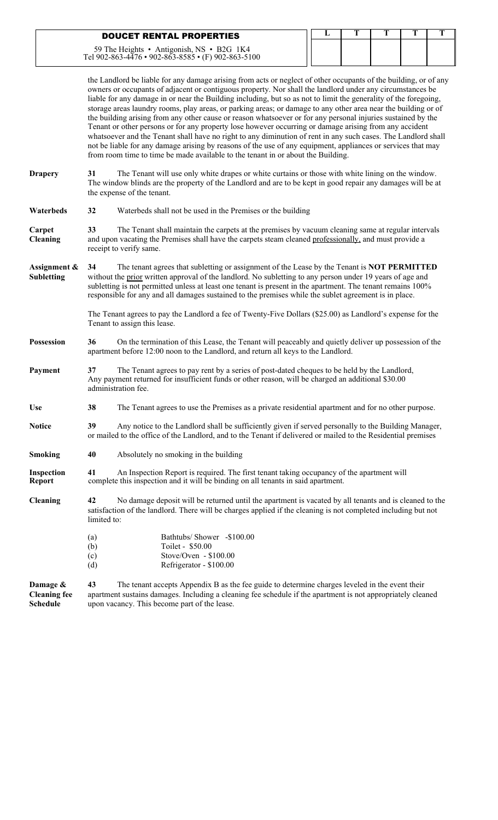| <b>DOUCET RENTAL PROPERTIES</b>                                                                 |  |  |  |
|-------------------------------------------------------------------------------------------------|--|--|--|
| 59 The Heights • Antigonish, NS • B2G 1K4<br>Tel 902-863-4476 • 902-863-8585 • (F) 902-863-5100 |  |  |  |

the Landlord be liable for any damage arising from acts or neglect of other occupants of the building, or of any owners or occupants of adjacent or contiguous property. Nor shall the landlord under any circumstances be liable for any damage in or near the Building including, but so as not to limit the generality of the foregoing, storage areas laundry rooms, play areas, or parking areas; or damage to any other area near the building or of the building arising from any other cause or reason whatsoever or for any personal injuries sustained by the Tenant or other persons or for any property lose however occurring or damage arising from any accident whatsoever and the Tenant shall have no right to any diminution of rent in any such cases. The Landlord shall not be liable for any damage arising by reasons of the use of any equipment, appliances or services that may from room time to time be made available to the tenant in or about the Building.

- **Drapery 31** The Tenant will use only white drapes or white curtains or those with white lining on the window. The window blinds are the property of the Landlord and are to be kept in good repair any damages will be at the expense of the tenant.
- **Waterbeds 32** Waterbeds shall not be used in the Premises or the building
- **Carpet 33** The Tenant shall maintain the carpets at the premises by vacuum cleaning same at regular intervals **Cleaning** and upon vacating the Premises shall have the carpets steam cleaned professionally, and must provide a receipt to verify same.
- **Assignment & 34** The tenant agrees that subletting or assignment of the Lease by the Tenant is **NOT PERMITTED**<br>**Subletting** without the prior written approval of the landlord. No subletting to any person under 19 years without the prior written approval of the landlord. No subletting to any person under 19 years of age and subletting is not permitted unless at least one tenant is present in the apartment. The tenant remains 100% responsible for any and all damages sustained to the premises while the sublet agreement is in place.

The Tenant agrees to pay the Landlord a fee of Twenty-Five Dollars (\$25.00) as Landlord's expense for the Tenant to assign this lease.

**Possession 36** On the termination of this Lease, the Tenant will peaceably and quietly deliver up possession of the apartment before 12:00 noon to the Landlord, and return all keys to the Landlord.

**Payment 37** The Tenant agrees to pay rent by a series of post-dated cheques to be held by the Landlord, Any payment returned for insufficient funds or other reason, will be charged an additional \$30.00 administration fee.

- **Use 38** The Tenant agrees to use the Premises as a private residential apartment and for no other purpose.
- **Notice 39** Any notice to the Landlord shall be sufficiently given if served personally to the Building Manager, or mailed to the office of the Landlord, and to the Tenant if delivered or mailed to the Residential premises
- **Smoking** 40 Absolutely no smoking in the building
- **Inspection 41** An Inspection Report is required. The first tenant taking occupancy of the apartment will **Report** complete this inspection and it will be binding on all tenants in said apartment. complete this inspection and it will be binding on all tenants in said apartment.

**Cleaning 42** No damage deposit will be returned until the apartment is vacated by all tenants and is cleaned to the satisfaction of the landlord. There will be charges applied if the cleaning is not completed including but not limited to:

> (a) Bathtubs/ Shower -\$100.00 (b) Toilet - \$50.00  $\text{C}$  Stove/Oven - \$100.00 (d) Refrigerator - \$100.00

**Damage & 43** The tenant accepts Appendix B as the fee guide to determine charges leveled in the event their **Cleaning fee** apartment sustains damages. Including a cleaning fee schedule if the apartment is not appropriately cleaned Schedule upon vacancy. This become part of the lease. upon vacancy. This become part of the lease.